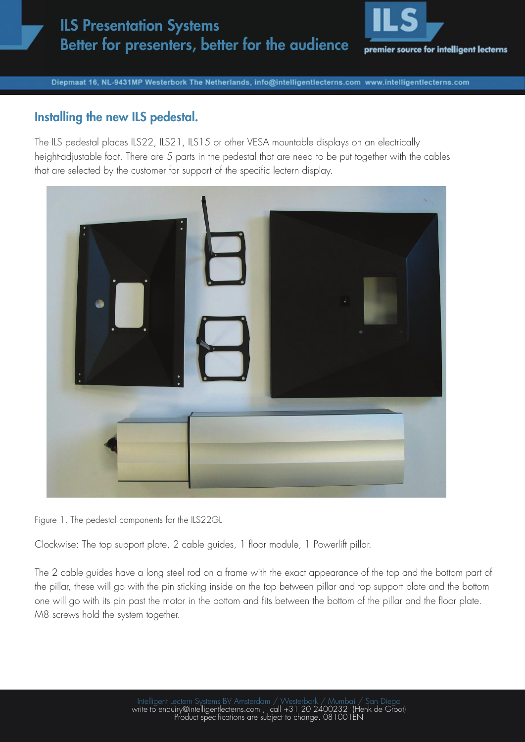## ILS Presentation Systems Better for presenters, better for the audience



Diepmaat 16, NL-9431MP Westerbork The Netherlands, info@intelligentlecterns.com www.intelligentlecterns.com

## Installing the new ILS pedestal.

The ILS pedestal places ILS22, ILS21, ILS15 or other VESA mountable displays on an electrically height-adjustable foot. There are 5 parts in the pedestal that are need to be put together with the cables that are selected by the customer for support of the specific lectern display.



Figure 1. The pedestal components for the ILS22GL

Clockwise: The top support plate, 2 cable guides, 1 floor module, 1 Powerlift pillar.

The 2 cable guides have a long steel rod on a frame with the exact appearance of the top and the bottom part of the pillar, these will go with the pin sticking inside on the top between pillar and top support plate and the bottom one will go with its pin past the motor in the bottom and fits between the bottom of the pillar and the floor plate. M8 screws hold the system together.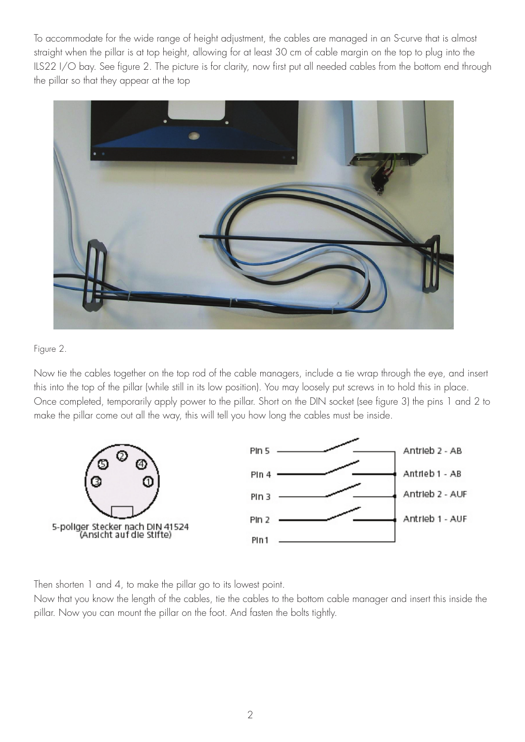To accommodate for the wide range of height adjustment, the cables are managed in an S-curve that is almost straight when the pillar is at top height, allowing for at least 30 cm of cable margin on the top to plug into the ILS22 I/O bay. See figure 2. The picture is for clarity, now first put all needed cables from the bottom end through the pillar so that they appear at the top



## Figure 2.

Now tie the cables together on the top rod of the cable managers, include a tie wrap through the eye, and insert this into the top of the pillar (while still in its low position). You may loosely put screws in to hold this in place. Once completed, temporarily apply power to the pillar. Short on the DIN socket (see figure 3) the pins 1 and 2 to make the pillar come out all the way, this will tell you how long the cables must be inside.



Then shorten 1 and 4, to make the pillar go to its lowest point.

Now that you know the length of the cables, tie the cables to the bottom cable manager and insert this inside the pillar. Now you can mount the pillar on the foot. And fasten the bolts tightly.